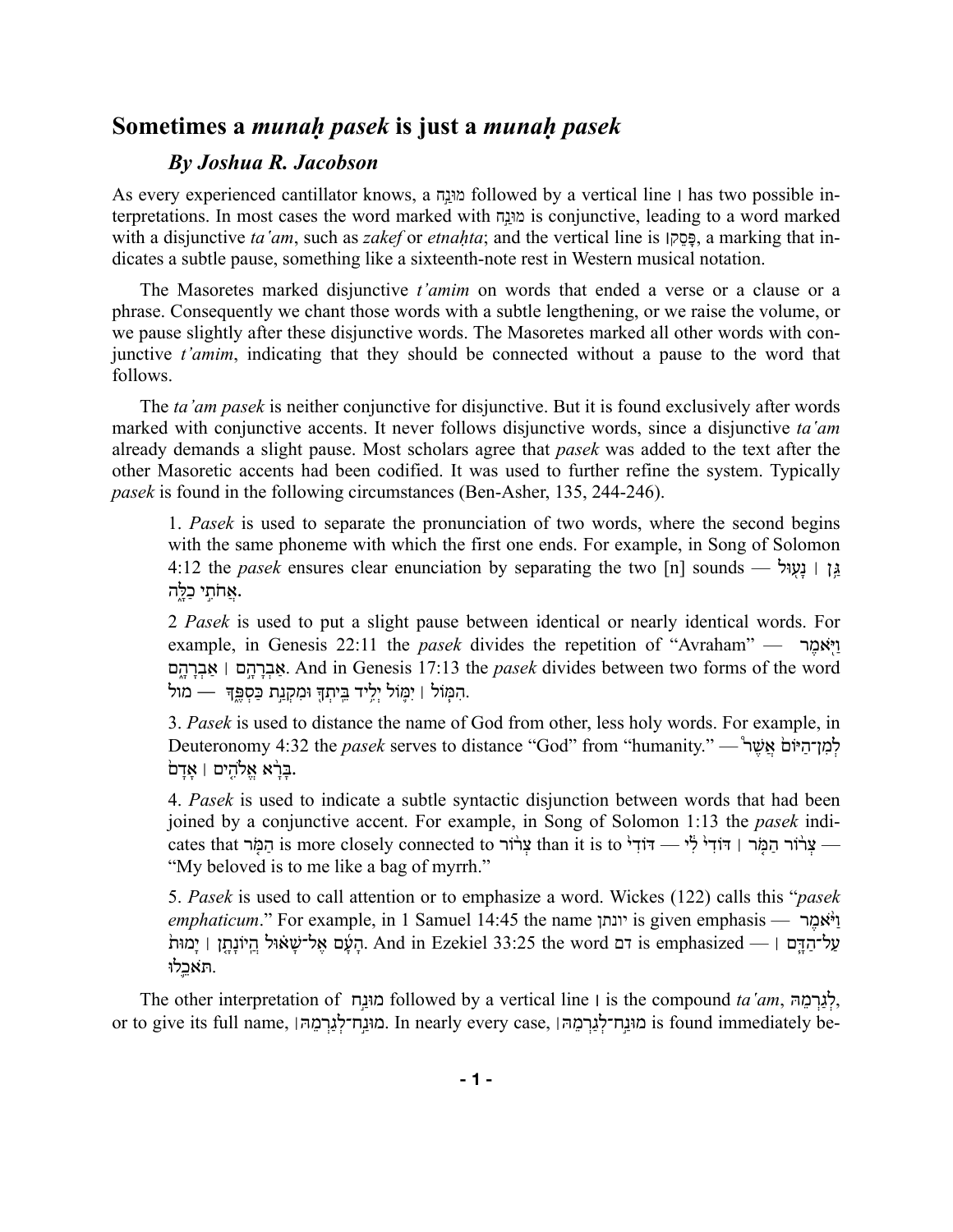## **Sometimes a** *munaḥ pasek* **is just a** *munaḥ pasek*

## *By Joshua R. Jacobson*

As every experienced cantillator knows, a מוּנח followed by a vertical line | has two possible interpretations. In most cases the word marked with נחַ֣מוּ is conjunctive, leading to a word marked with a disjunctive *ta* '*am*, such as *zakef* or *etnahta*; and the vertical line is [כּסק, a marking that indicates a subtle pause, something like a sixteenth-note rest in Western musical notation.

The Masoretes marked disjunctive *t'amim* on words that ended a verse or a clause or a phrase. Consequently we chant those words with a subtle lengthening, or we raise the volume, or we pause slightly after these disjunctive words. The Masoretes marked all other words with conjunctive *t'amim*, indicating that they should be connected without a pause to the word that follows.

The *ta'am pasek* is neither conjunctive for disjunctive. But it is found exclusively after words marked with conjunctive accents. It never follows disjunctive words, since a disjunctive *ta'am* already demands a slight pause. Most scholars agree that *pasek* was added to the text after the other Masoretic accents had been codified. It was used to further refine the system. Typically *pasek* is found in the following circumstances (Ben-Asher, 135, 244-246).

1. *Pasek* is used to separate the pronunciation of two words, where the second begins with the same phoneme with which the first one ends. For example, in Song of Solomon 4:12 the *pasek* ensures clear enunciation by separating the two [n] sounds — גן | נעויל אֲחֹתֵי כַלֵּה.

2 *Pasek* is used to put a slight pause between identical or nearly identical words. For example, in Genesis 22:11 the *pasek* divides the repetition of "Avraham" — יִיאמֶר ם ֑ ָה ָר ְב ַא ׀ ם ֣ ָה ָר ְב ַא. And in Genesis 17:13 the *pasek* divides between two forms of the word . הִמְּוֹל | יִמְוֹל יִלֵיד בֵּיתִךְ וּמִקְנֵת כַּסְפֵּךְ. — מול

3. *Pasek* is used to distance the name of God from other, less holy words. For example, in Deuteronomy 4:32 the *pasek* serves to distance "God" from "humanity." — לְמַן־הַיּוֹם אֲשֶׁר .בַּרָא אֱלֹהִים | אַדַם

4. *Pasek* is used to indicate a subtle syntactic disjunction between words that had been joined by a conjunctive accent. For example, in Song of Solomon 1:13 the *pasek* indicates that נְמִל is more closely connected to עֲרוֹר than it is to יְדוֹדִי הַמְּר | דּוֹדִי  $-$ "My beloved is to me like a bag of myrrh."

5. *Pasek* is used to call attention or to emphasize a word. Wickes (122) calls this "*pasek emphaticum*." For example, in 1 Samuel 14:45 the name יונתן is given emphasis — י<sup> $\dot{t}$ אמר</sup> ' לַמוּת נִיוֹנָתֵן is emphasized — וּ And in Ezekiel 33:25 the word הַעֲם אֱל־שָׁאוּל הֲיוֹנָתֵן וּ יָמוּת .תּ ֹאכֵ ֛לוּ

The other interpretation of מוּנַח followed by a vertical line | is the compound *ta'am*, לְגַרְמֵה or to give its full name, מוּנַח־לְנֵרְמֶהּ, In nearly every case, הוּנֵח־לֹנַרְמֵה is found immediately be-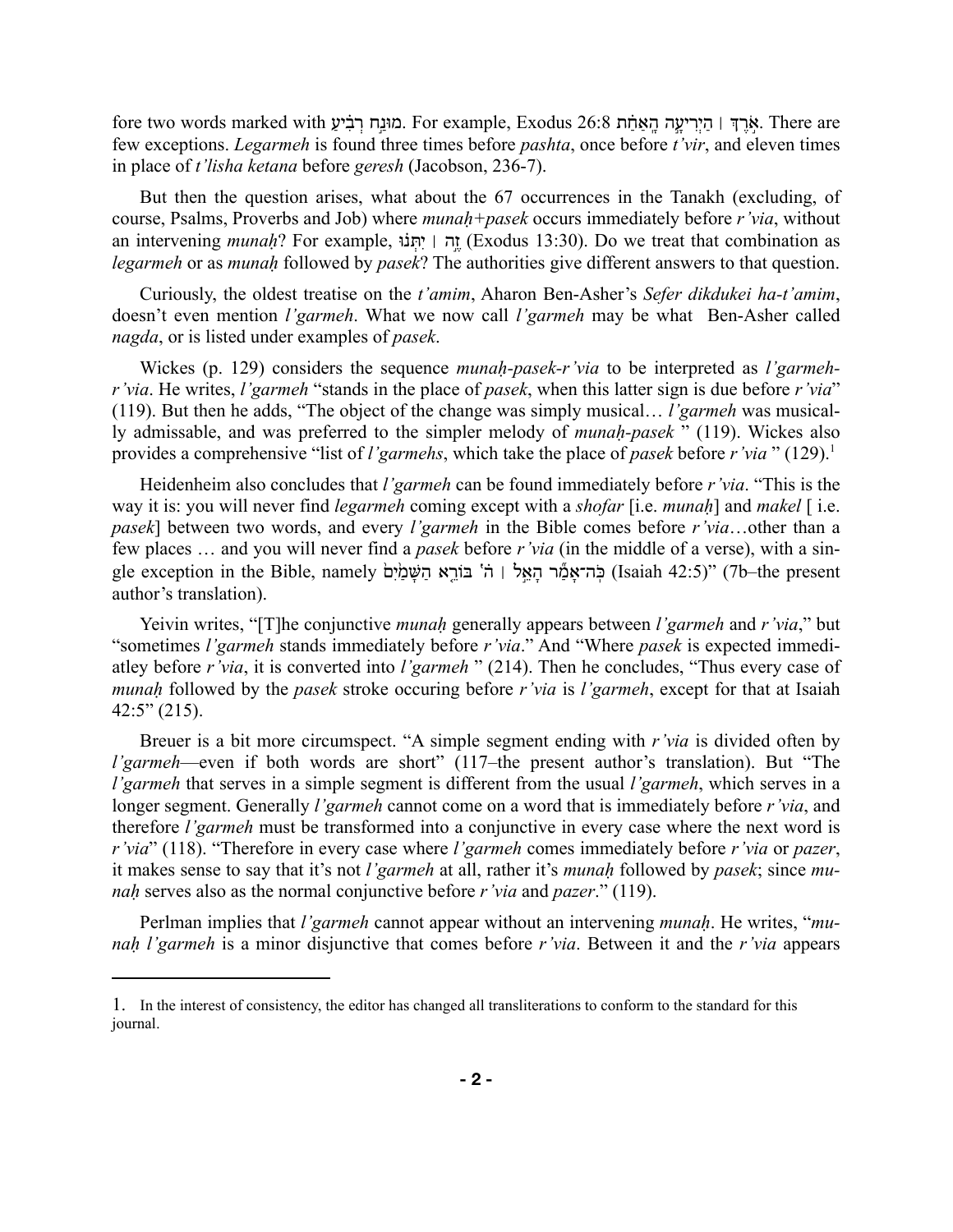fore two words marked with הַנּוּנַח רֹבִּיע Exodus 26:8 באָרִדְּ | הִירִיעָה הָאָחֹת Exodus 26:8 . few exceptions. *Legarmeh* is found three times before *pashta*, once before *t'vir*, and eleven times in place of *t'lisha ketana* before *geresh* (Jacobson, 236-7).

But then the question arises, what about the 67 occurrences in the Tanakh (excluding, of course, Psalms, Proverbs and Job) where *munaḥ+pasek* occurs immediately before *r'via*, without an intervening *munah*? For example, וּה | יתּנוֹ (Exodus 13:30). Do we treat that combination as *legarmeh* or as *munaḥ* followed by *pasek*? The authorities give different answers to that question.

Curiously, the oldest treatise on the *t'amim*, Aharon Ben-Asher's *Sefer dikdukei ha-t'amim*, doesn't even mention *l'garmeh*. What we now call *l'garmeh* may be what Ben-Asher called *nagda*, or is listed under examples of *pasek*.

Wickes (p. 129) considers the sequence *munaḥ-pasek-r'via* to be interpreted as *l'garmehr'via*. He writes, *l'garmeh* "stands in the place of *pasek*, when this latter sign is due before *r'via*" (119). But then he adds, "The object of the change was simply musical… *l'garmeh* was musically admissable, and was preferred to the simpler melody of *munaḥ-pasek* " (119). Wickes also provides a comprehensive "list of *l'garmehs*, which take the place of *pasek* before *r'via* " (129).<sup>1</sup>

Heidenheim also concludes that *l'garmeh* can be found immediately before *r'via*. "This is the way it is: you will never find *legarmeh* coming except with a *shofar* [i.e. *munaḥ*] and *makel* [ i.e. *pasek*] between two words, and every *l'garmeh* in the Bible comes before *r'via*…other than a few places … and you will never find a *pasek* before *r'via* (in the middle of a verse), with a single exception in the Bible, namely בֹּה־אמֹר הַאֵל | הֹ' בּוֹרֵא הַשָּׁמַׂיִם (Isaiah 42:5)" (7b–the present author's translation).

Yeivin writes, "[T]he conjunctive *munaḥ* generally appears between *l'garmeh* and *r'via*," but "sometimes *l'garmeh* stands immediately before *r'via*." And "Where *pasek* is expected immediatley before *r'via*, it is converted into *l'garmeh* " (214). Then he concludes, "Thus every case of *munaḥ* followed by the *pasek* stroke occuring before *r'via* is *l'garmeh*, except for that at Isaiah 42:5" (215).

Breuer is a bit more circumspect. "A simple segment ending with *r'via* is divided often by *l'garmeh*—even if both words are short" (117–the present author's translation). But "The *l'garmeh* that serves in a simple segment is different from the usual *l'garmeh*, which serves in a longer segment. Generally *l'garmeh* cannot come on a word that is immediately before *r'via*, and therefore *l'garmeh* must be transformed into a conjunctive in every case where the next word is *r'via*" (118). "Therefore in every case where *l'garmeh* comes immediately before *r'via* or *pazer*, it makes sense to say that it's not *l'garmeh* at all, rather it's *munaḥ* followed by *pasek*; since *munaḥ* serves also as the normal conjunctive before *r'via* and *pazer*." (119).

Perlman implies that *l'garmeh* cannot appear without an intervening *munaḥ*. He writes, "*munaḥ l'garmeh* is a minor disjunctive that comes before *r'via*. Between it and the *r'via* appears

<sup>1.</sup> In the interest of consistency, the editor has changed all transliterations to conform to the standard for this journal.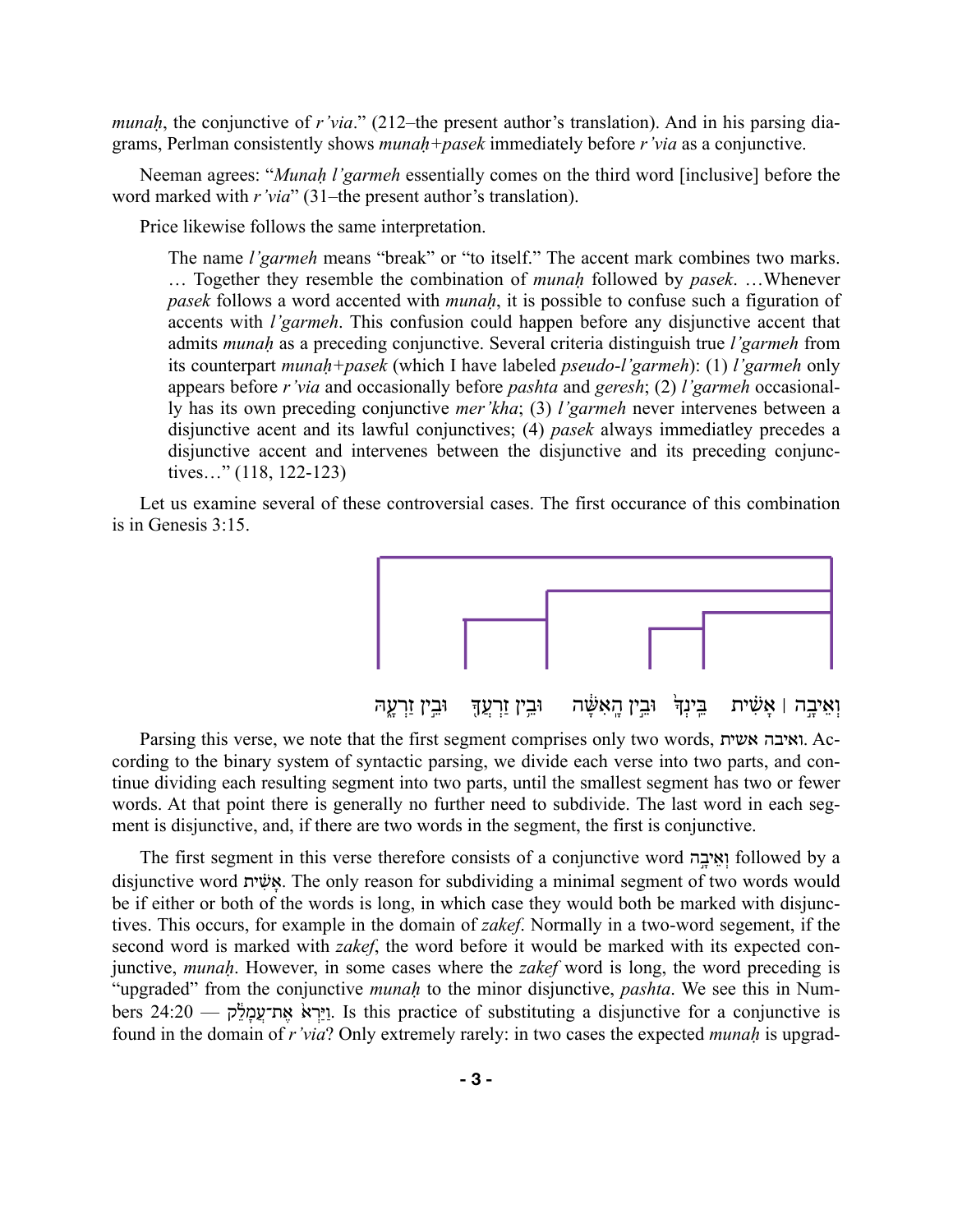*munah*, the conjunctive of *r'via*." (212–the present author's translation). And in his parsing diagrams, Perlman consistently shows *munaḥ+pasek* immediately before *r'via* as a conjunctive.

Neeman agrees: "*Munaḥ l'garmeh* essentially comes on the third word [inclusive] before the word marked with *r'via*" (31–the present author's translation).

Price likewise follows the same interpretation.

The name *l'garmeh* means "break" or "to itself." The accent mark combines two marks. … Together they resemble the combination of *munaḥ* followed by *pasek*. …Whenever *pasek* follows a word accented with *munaḥ*, it is possible to confuse such a figuration of accents with *l'garmeh*. This confusion could happen before any disjunctive accent that admits *munaḥ* as a preceding conjunctive. Several criteria distinguish true *l'garmeh* from its counterpart *munaḥ+pasek* (which I have labeled *pseudo-l'garmeh*): (1) *l'garmeh* only appears before *r'via* and occasionally before *pashta* and *geresh*; (2) *l'garmeh* occasionally has its own preceding conjunctive *mer'kha*; (3) *l'garmeh* never intervenes between a disjunctive acent and its lawful conjunctives; (4) *pasek* always immediatley precedes a disjunctive accent and intervenes between the disjunctive and its preceding conjunctives…" (118, 122-123)

Let us examine several of these controversial cases. The first occurance of this combination is in Genesis 3:15.



וְ וְאֵיבָה | אָשִׁית | בֵּינְךָ | וּבֵין הֲאִשָּׁה | וּבֵין זַרְעֵךְ | וּבֵין זַרְעַה

Parsing this verse, we note that the first segment comprises only two words, אשית ואיבה. According to the binary system of syntactic parsing, we divide each verse into two parts, and continue dividing each resulting segment into two parts, until the smallest segment has two or fewer words. At that point there is generally no further need to subdivide. The last word in each segment is disjunctive, and, if there are two words in the segment, the first is conjunctive.

The first segment in this verse therefore consists of a conjunctive word וֹאֵיבה followed by a disjunctive word **EXA:** אשׁית. The only reason for subdividing a minimal segment of two words would be if either or both of the words is long, in which case they would both be marked with disjunctives. This occurs, for example in the domain of *zakef*. Normally in a two-word segement, if the second word is marked with *zakef*, the word before it would be marked with its expected conjunctive, *munaḥ*. However, in some cases where the *zakef* word is long, the word preceding is "upgraded" from the conjunctive *munaḥ* to the minor disjunctive, *pashta*. We see this in Numbers 24:20 — וירא אח־עמלה. Is this practice of substituting a disjunctive for a conjunctive is found in the domain of *r'via*? Only extremely rarely: in two cases the expected *munaḥ* is upgrad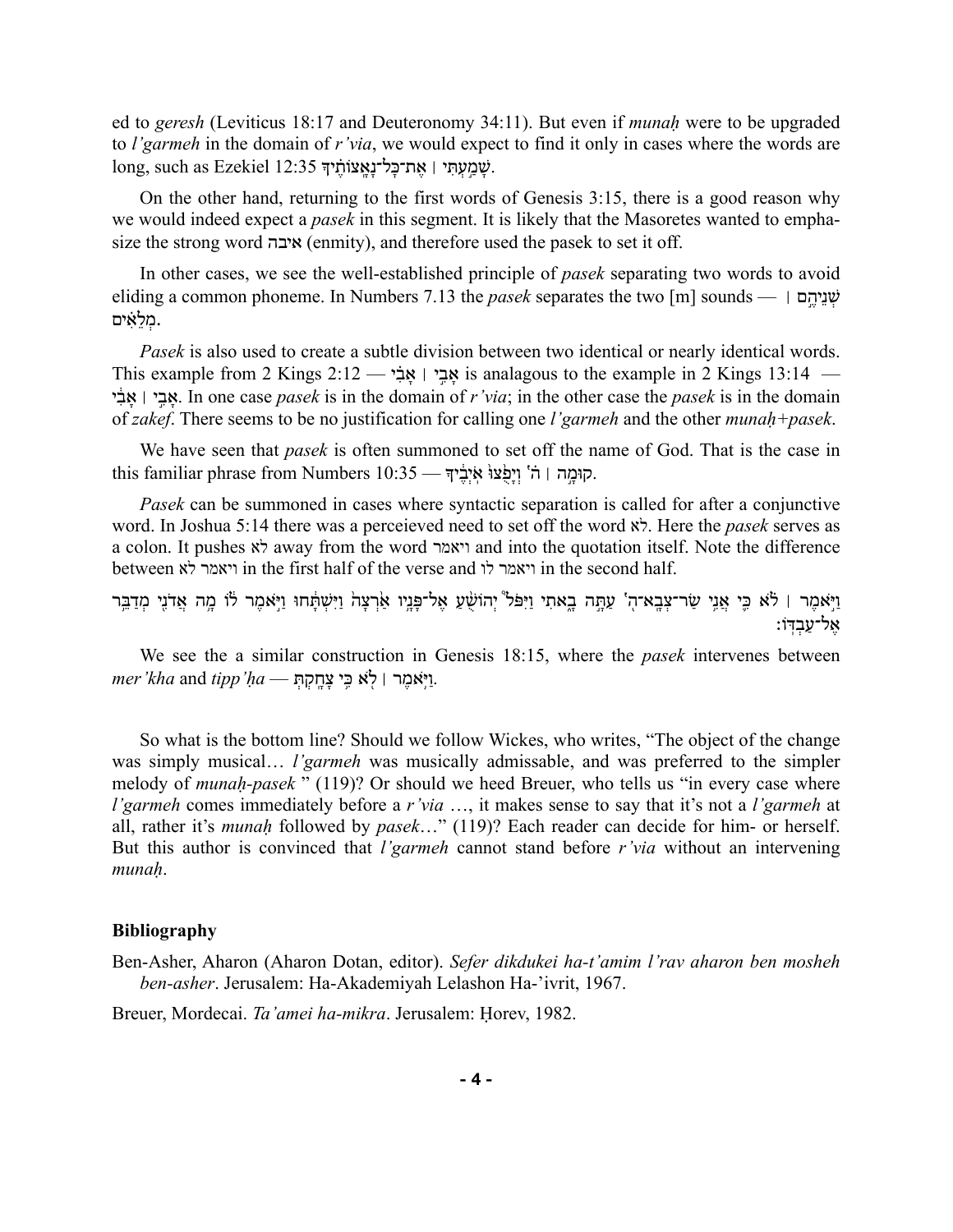ed to *geresh* (Leviticus 18:17 and Deuteronomy 34:11). But even if *munaḥ* were to be upgraded to *l'garmeh* in the domain of *r'via*, we would expect to find it only in cases where the words are long, such as Ezekiel  $12:35$  עְמֵעָתִּי | אֱת־כַּל־נַאֲצוֹתֵ֫יִךְ

On the other hand, returning to the first words of Genesis 3:15, there is a good reason why we would indeed expect a *pasek* in this segment. It is likely that the Masoretes wanted to emphasize the strong word איבה) enmity), and therefore used the pasek to set it off.

In other cases, we see the well-established principle of *pasek* separating two words to avoid eliding a common phoneme. In Numbers 7.13 the *pasek* separates the two [m] sounds —  $\vert$  שׁגַיהֵם  $\vert$ .מְ לֵ אִ֗ ים

*Pasek* is also used to create a subtle division between two identical or nearly identical words. This example from 2 Kings 2:12 —  $\frac{12}{12}$  is analagous to the example in 2 Kings 13:14 — י ִ֔ב ָא ׀ י ֣ ִב ָא. In one case *pasek* is in the domain of *r'via*; in the other case the *pasek* is in the domain of *zakef*. There seems to be no justification for calling one *l'garmeh* and the other *munaḥ+pasek*.

We have seen that *pasek* is often summoned to set off the name of God. That is the case in this familiar phrase from Numbers 10:35 — קוּמָה | ה' וְיִפְצוּ אִיְבֵיךָ

*Pasek* can be summoned in cases where syntactic separation is called for after a conjunctive word. In Joshua 5:14 there was a perceieved need to set off the word לא. Here the *pasek* serves as a colon. It pushes לא away from the word ויאמר and into the quotation itself. Note the difference between לא ויאמר in the first half of the verse and לו ויאמר in the second half.

וַיִּאמֶר | לֹא כֵּי אֲנֵי שַׂר־צְבֵא־הְ' עַתֲה בָאתִי וַיִּפֹּל<sup>ּ</sup> יְהוֹשָׁעַ אֵל־פָּנֵיו אַׂרְצָה וַיִּשְׁתָּחוּ וַיִּאמֶר לֹוֹ מֶה אֲדֹנֵי מִדַבֵּר :אל־עַבִדּוֹ

We see the a similar construction in Genesis 18:15, where the *pasek* intervenes between .וַ יּ ֹ֥ אמֶ ר ׀ ל ֹ֖ א כִּ ֥ י צָ חָ ֽ קְ תְּ — *ḥa'tipp* and *kha'mer*

So what is the bottom line? Should we follow Wickes, who writes, "The object of the change was simply musical… *l'garmeh* was musically admissable, and was preferred to the simpler melody of *munaḥ-pasek* " (119)? Or should we heed Breuer, who tells us "in every case where *l'garmeh* comes immediately before a *r'via* …, it makes sense to say that it's not a *l'garmeh* at all, rather it's *munaḥ* followed by *pasek*…" (119)? Each reader can decide for him- or herself. But this author is convinced that *l'garmeh* cannot stand before *r'via* without an intervening *munaḥ*.

## **Bibliography**

Ben-Asher, Aharon (Aharon Dotan, editor). *Sefer dikdukei ha-t'amim l'rav aharon ben mosheh ben-asher*. Jerusalem: Ha-Akademiyah Lelashon Ha-'ivrit, 1967.

Breuer, Mordecai. *Ta'amei ha-mikra*. Jerusalem: Ḥorev, 1982.